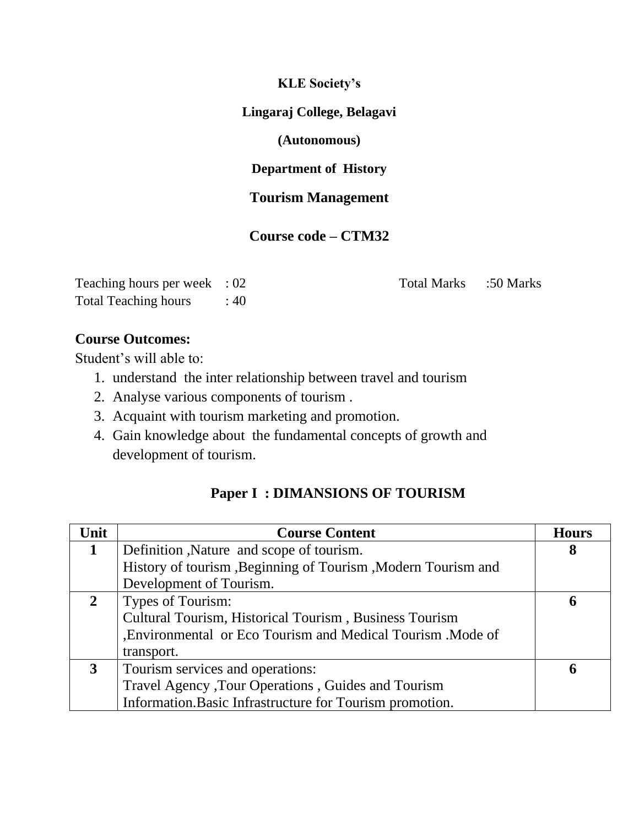### **KLE Society's**

## **Lingaraj College, Belagavi**

## **(Autonomous)**

# **Department of History**

# **Tourism Management**

## **Course code – CTM32**

| Teaching hours per week : 02 |     |
|------------------------------|-----|
| <b>Total Teaching hours</b>  | :40 |

Total Marks :50 Marks

## **Course Outcomes:**

Student's will able to:

- 1. understand the inter relationship between travel and tourism
- 2. Analyse various components of tourism .
- 3. Acquaint with tourism marketing and promotion.
- 4. Gain knowledge about the fundamental concepts of growth and development of tourism.

## **Paper I : DIMANSIONS OF TOURISM**

| Unit           | <b>Course Content</b>                                        | <b>Hours</b> |
|----------------|--------------------------------------------------------------|--------------|
| 1              | Definition, Nature and scope of tourism.                     | 8            |
|                | History of tourism, Beginning of Tourism, Modern Tourism and |              |
|                | Development of Tourism.                                      |              |
| $\overline{2}$ | Types of Tourism:                                            | 6            |
|                | Cultural Tourism, Historical Tourism, Business Tourism       |              |
|                | , Environmental or Eco Tourism and Medical Tourism . Mode of |              |
|                | transport.                                                   |              |
| $\mathbf{3}$   | Tourism services and operations:                             | 6            |
|                | Travel Agency , Tour Operations, Guides and Tourism          |              |
|                | Information. Basic Infrastructure for Tourism promotion.     |              |